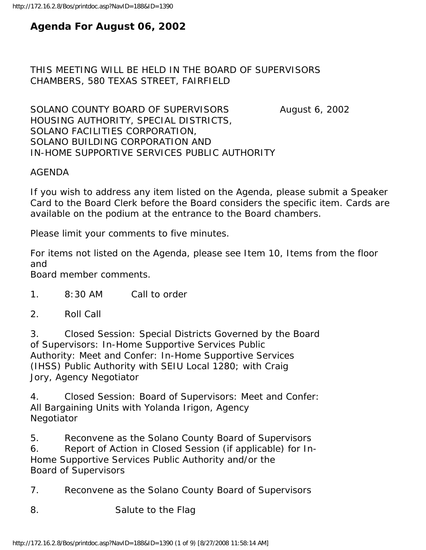# **Agenda For August 06, 2002**

#### THIS MEETING WILL BE HELD IN THE BOARD OF SUPERVISORS CHAMBERS, 580 TEXAS STREET, FAIRFIELD

SOLANO COUNTY BOARD OF SUPERVISORS August 6, 2002 HOUSING AUTHORITY, SPECIAL DISTRICTS, SOLANO FACILITIES CORPORATION, SOLANO BUILDING CORPORATION AND IN-HOME SUPPORTIVE SERVICES PUBLIC AUTHORITY

#### AGENDA

If you wish to address any item listed on the Agenda, please submit a Speaker Card to the Board Clerk before the Board considers the specific item. Cards are available on the podium at the entrance to the Board chambers.

Please limit your comments to five minutes.

For items not listed on the Agenda, please see Item 10, Items from the floor and

Board member comments.

- 1. 8:30 AM Call to order
- 2. Roll Call

3. Closed Session: Special Districts Governed by the Board of Supervisors: In-Home Supportive Services Public Authority: Meet and Confer: In-Home Supportive Services (IHSS) Public Authority with SEIU Local 1280; with Craig Jory, Agency Negotiator

4. Closed Session: Board of Supervisors: Meet and Confer: All Bargaining Units with Yolanda Irigon, Agency Negotiator

5. Reconvene as the Solano County Board of Supervisors 6. Report of Action in Closed Session (if applicable) for In-Home Supportive Services Public Authority and/or the Board of Supervisors

7. Reconvene as the Solano County Board of Supervisors

8. Salute to the Flag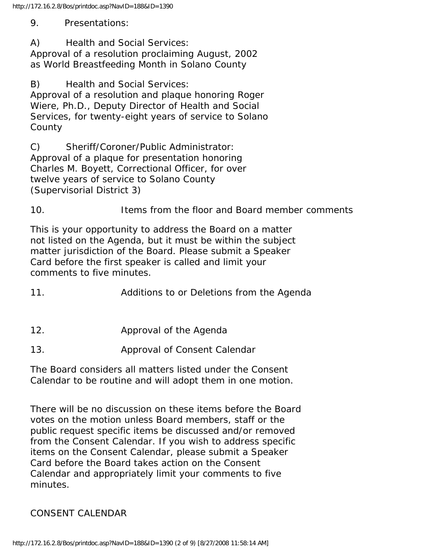http://172.16.2.8/Bos/printdoc.asp?NavID=188&ID=1390

9. Presentations:

A) Health and Social Services: Approval of a resolution proclaiming August, 2002 as World Breastfeeding Month in Solano County

B) Health and Social Services:

Approval of a resolution and plaque honoring Roger Wiere, Ph.D., Deputy Director of Health and Social Services, for twenty-eight years of service to Solano County

C) Sheriff/Coroner/Public Administrator: Approval of a plaque for presentation honoring Charles M. Boyett, Correctional Officer, for over twelve years of service to Solano County (Supervisorial District 3)

10. Items from the floor and Board member comments

This is your opportunity to address the Board on a matter not listed on the Agenda, but it must be within the subject matter jurisdiction of the Board. Please submit a Speaker Card before the first speaker is called and limit your comments to five minutes.

11. Additions to or Deletions from the Agenda

- 12. Approval of the Agenda
- 13. Approval of Consent Calendar

The Board considers all matters listed under the Consent Calendar to be routine and will adopt them in one motion.

There will be no discussion on these items before the Board votes on the motion unless Board members, staff or the public request specific items be discussed and/or removed from the Consent Calendar. If you wish to address specific items on the Consent Calendar, please submit a Speaker Card before the Board takes action on the Consent Calendar and appropriately limit your comments to five minutes.

## CONSENT CALENDAR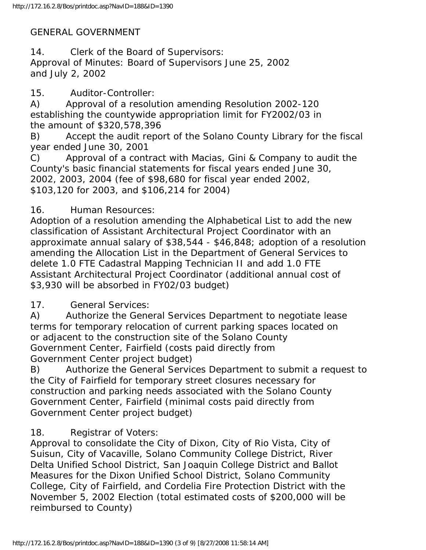### GENERAL GOVERNMENT

14. Clerk of the Board of Supervisors: Approval of Minutes: Board of Supervisors June 25, 2002 and July 2, 2002

15. Auditor-Controller:

A) Approval of a resolution amending Resolution 2002-120 establishing the countywide appropriation limit for FY2002/03 in the amount of \$320,578,396

B) Accept the audit report of the Solano County Library for the fiscal year ended June 30, 2001

C) Approval of a contract with Macias, Gini & Company to audit the County's basic financial statements for fiscal years ended June 30, 2002, 2003, 2004 (fee of \$98,680 for fiscal year ended 2002, \$103,120 for 2003, and \$106,214 for 2004)

# 16. Human Resources:

Adoption of a resolution amending the Alphabetical List to add the new classification of Assistant Architectural Project Coordinator with an approximate annual salary of \$38,544 - \$46,848; adoption of a resolution amending the Allocation List in the Department of General Services to delete 1.0 FTE Cadastral Mapping Technician II and add 1.0 FTE Assistant Architectural Project Coordinator (additional annual cost of \$3,930 will be absorbed in FY02/03 budget)

# 17. General Services:

A) Authorize the General Services Department to negotiate lease terms for temporary relocation of current parking spaces located on or adjacent to the construction site of the Solano County Government Center, Fairfield (costs paid directly from Government Center project budget)

B) Authorize the General Services Department to submit a request to the City of Fairfield for temporary street closures necessary for construction and parking needs associated with the Solano County Government Center, Fairfield (minimal costs paid directly from Government Center project budget)

# 18. Registrar of Voters:

Approval to consolidate the City of Dixon, City of Rio Vista, City of Suisun, City of Vacaville, Solano Community College District, River Delta Unified School District, San Joaquin College District and Ballot Measures for the Dixon Unified School District, Solano Community College, City of Fairfield, and Cordelia Fire Protection District with the November 5, 2002 Election (total estimated costs of \$200,000 will be reimbursed to County)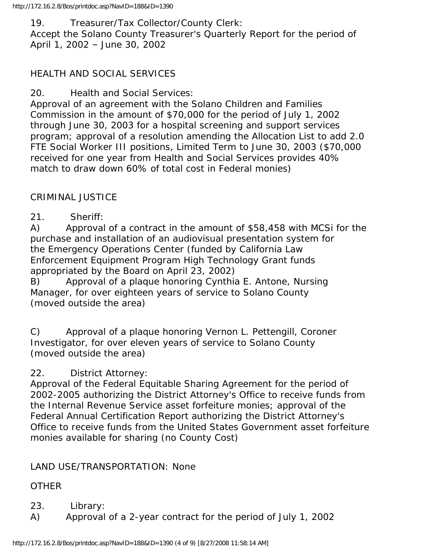19. Treasurer/Tax Collector/County Clerk:

Accept the Solano County Treasurer's Quarterly Report for the period of April 1, 2002 – June 30, 2002

# HEALTH AND SOCIAL SERVICES

20. Health and Social Services:

Approval of an agreement with the Solano Children and Families Commission in the amount of \$70,000 for the period of July 1, 2002 through June 30, 2003 for a hospital screening and support services program; approval of a resolution amending the Allocation List to add 2.0 FTE Social Worker III positions, Limited Term to June 30, 2003 (\$70,000 received for one year from Health and Social Services provides 40% match to draw down 60% of total cost in Federal monies)

# CRIMINAL JUSTICE

# 21. Sheriff:

A) Approval of a contract in the amount of \$58,458 with MCSi for the purchase and installation of an audiovisual presentation system for the Emergency Operations Center (funded by California Law Enforcement Equipment Program High Technology Grant funds appropriated by the Board on April 23, 2002)

B) Approval of a plaque honoring Cynthia E. Antone, Nursing Manager, for over eighteen years of service to Solano County (moved outside the area)

C) Approval of a plaque honoring Vernon L. Pettengill, Coroner Investigator, for over eleven years of service to Solano County (moved outside the area)

# 22. District Attorney:

Approval of the Federal Equitable Sharing Agreement for the period of 2002-2005 authorizing the District Attorney's Office to receive funds from the Internal Revenue Service asset forfeiture monies; approval of the Federal Annual Certification Report authorizing the District Attorney's Office to receive funds from the United States Government asset forfeiture monies available for sharing (no County Cost)

# LAND USE/TRANSPORTATION: None

# **OTHER**

- 23. Library:
- A) Approval of a 2-year contract for the period of July 1, 2002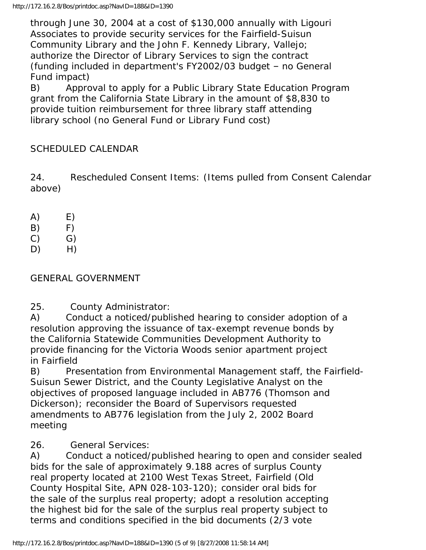through June 30, 2004 at a cost of \$130,000 annually with Ligouri Associates to provide security services for the Fairfield-Suisun Community Library and the John F. Kennedy Library, Vallejo; authorize the Director of Library Services to sign the contract (funding included in department's FY2002/03 budget – no General Fund impact)

B) Approval to apply for a Public Library State Education Program grant from the California State Library in the amount of \$8,830 to provide tuition reimbursement for three library staff attending library school (no General Fund or Library Fund cost)

# SCHEDULED CALENDAR

24. Rescheduled Consent Items: (Items pulled from Consent Calendar above)

- $(A)$   $E)$
- B) F)
- C) G)
- D) H)

GENERAL GOVERNMENT

25. County Administrator:

A) Conduct a noticed/published hearing to consider adoption of a resolution approving the issuance of tax-exempt revenue bonds by the California Statewide Communities Development Authority to provide financing for the Victoria Woods senior apartment project in Fairfield

B) Presentation from Environmental Management staff, the Fairfield-Suisun Sewer District, and the County Legislative Analyst on the objectives of proposed language included in AB776 (Thomson and Dickerson); reconsider the Board of Supervisors requested amendments to AB776 legislation from the July 2, 2002 Board meeting

26. General Services:

A) Conduct a noticed/published hearing to open and consider sealed bids for the sale of approximately 9.188 acres of surplus County real property located at 2100 West Texas Street, Fairfield (Old County Hospital Site, APN 028-103-120); consider oral bids for the sale of the surplus real property; adopt a resolution accepting the highest bid for the sale of the surplus real property subject to terms and conditions specified in the bid documents (2/3 vote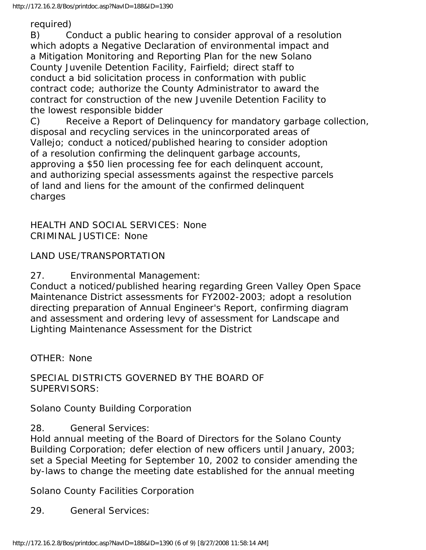#### required)

B) Conduct a public hearing to consider approval of a resolution which adopts a Negative Declaration of environmental impact and a Mitigation Monitoring and Reporting Plan for the new Solano County Juvenile Detention Facility, Fairfield; direct staff to conduct a bid solicitation process in conformation with public contract code; authorize the County Administrator to award the contract for construction of the new Juvenile Detention Facility to the lowest responsible bidder

C) Receive a Report of Delinquency for mandatory garbage collection, disposal and recycling services in the unincorporated areas of Vallejo; conduct a noticed/published hearing to consider adoption of a resolution confirming the delinquent garbage accounts, approving a \$50 lien processing fee for each delinquent account, and authorizing special assessments against the respective parcels of land and liens for the amount of the confirmed delinquent charges

HEALTH AND SOCIAL SERVICES: None CRIMINAL JUSTICE: None

LAND USE/TRANSPORTATION

27. Environmental Management:

Conduct a noticed/published hearing regarding Green Valley Open Space Maintenance District assessments for FY2002-2003; adopt a resolution directing preparation of Annual Engineer's Report, confirming diagram and assessment and ordering levy of assessment for Landscape and Lighting Maintenance Assessment for the District

OTHER: None

SPECIAL DISTRICTS GOVERNED BY THE BOARD OF SUPERVISORS:

Solano County Building Corporation

28. General Services:

Hold annual meeting of the Board of Directors for the Solano County Building Corporation; defer election of new officers until January, 2003; set a Special Meeting for September 10, 2002 to consider amending the by-laws to change the meeting date established for the annual meeting

Solano County Facilities Corporation

29. General Services: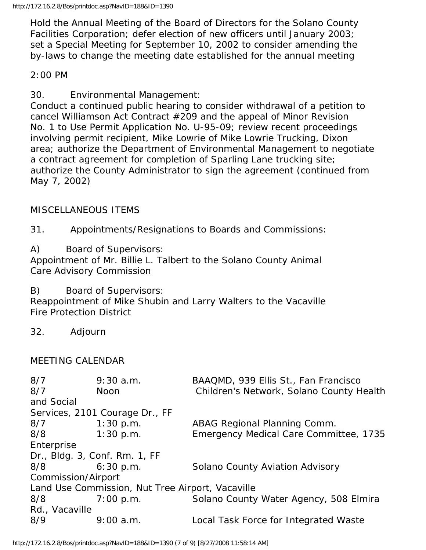Hold the Annual Meeting of the Board of Directors for the Solano County Facilities Corporation; defer election of new officers until January 2003; set a Special Meeting for September 10, 2002 to consider amending the by-laws to change the meeting date established for the annual meeting

### 2:00 PM

30. Environmental Management:

Conduct a continued public hearing to consider withdrawal of a petition to cancel Williamson Act Contract #209 and the appeal of Minor Revision No. 1 to Use Permit Application No. U-95-09; review recent proceedings involving permit recipient, Mike Lowrie of Mike Lowrie Trucking, Dixon area; authorize the Department of Environmental Management to negotiate a contract agreement for completion of Sparling Lane trucking site; authorize the County Administrator to sign the agreement (continued from May 7, 2002)

## MISCELLANEOUS ITEMS

31. Appointments/Resignations to Boards and Commissions:

A) Board of Supervisors:

Appointment of Mr. Billie L. Talbert to the Solano County Animal Care Advisory Commission

B) Board of Supervisors:

Reappointment of Mike Shubin and Larry Walters to the Vacaville Fire Protection District

32. Adjourn

#### MEETING CALENDAR

| 8/7                                              | $9:30$ a.m. | BAAQMD, 939 Ellis St., Fan Francisco     |
|--------------------------------------------------|-------------|------------------------------------------|
| 8/7                                              | <b>Noon</b> | Children's Network, Solano County Health |
| and Social                                       |             |                                          |
| Services, 2101 Courage Dr., FF                   |             |                                          |
| 8/7                                              | $1:30$ p.m. | ABAG Regional Planning Comm.             |
| 8/8                                              | $1:30$ p.m. | Emergency Medical Care Committee, 1735   |
| Enterprise                                       |             |                                          |
| Dr., Bldg. 3, Conf. Rm. 1, FF                    |             |                                          |
| 8/8                                              | $6:30$ p.m. | Solano County Aviation Advisory          |
| Commission/Airport                               |             |                                          |
| Land Use Commission, Nut Tree Airport, Vacaville |             |                                          |
| 8/8                                              | 7:00 p.m.   | Solano County Water Agency, 508 Elmira   |
| Rd., Vacaville                                   |             |                                          |
| 8/9                                              | 9:00a.m.    | Local Task Force for Integrated Waste    |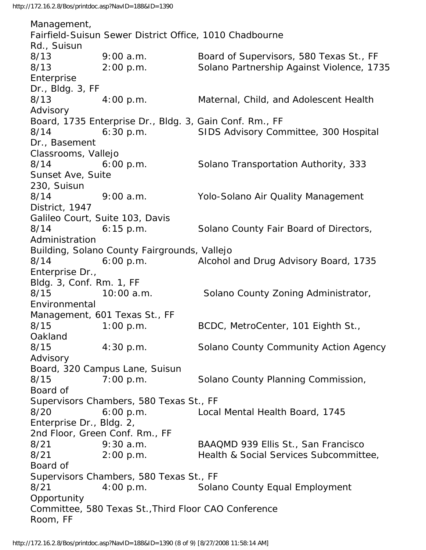Management, Fairfield-Suisun Sewer District Office, 1010 Chadbourne Rd., Suisun 8/13 9:00 a.m. Board of Supervisors, 580 Texas St., FF 8/13 2:00 p.m. Solano Partnership Against Violence, 1735 Enterprise Dr., Bldg. 3, FF 8/13 4:00 p.m. Maternal, Child, and Adolescent Health Advisory Board, 1735 Enterprise Dr., Bldg. 3, Gain Conf. Rm., FF 8/14 6:30 p.m. SIDS Advisory Committee, 300 Hospital Dr., Basement Classrooms, Vallejo 8/14 6:00 p.m. Solano Transportation Authority, 333 Sunset Ave, Suite 230, Suisun 8/14 9:00 a.m. Yolo-Solano Air Quality Management District, 1947 Galileo Court, Suite 103, Davis 8/14 6:15 p.m. Solano County Fair Board of Directors, Administration Building, Solano County Fairgrounds, Vallejo 8/14 6:00 p.m. Alcohol and Drug Advisory Board, 1735 Enterprise Dr., Bldg. 3, Conf. Rm. 1, FF 8/15 10:00 a.m. Solano County Zoning Administrator, Environmental Management, 601 Texas St., FF 8/15 1:00 p.m. BCDC, MetroCenter, 101 Eighth St., **Oakland** 8/15 4:30 p.m. Solano County Community Action Agency Advisory Board, 320 Campus Lane, Suisun 8/15 7:00 p.m. Solano County Planning Commission, Board of Supervisors Chambers, 580 Texas St., FF 8/20 6:00 p.m. Local Mental Health Board, 1745 Enterprise Dr., Bldg. 2, 2nd Floor, Green Conf. Rm., FF 8/21 9:30 a.m. BAAQMD 939 Ellis St., San Francisco 8/21 2:00 p.m. Health & Social Services Subcommittee, Board of Supervisors Chambers, 580 Texas St., FF 8/21 4:00 p.m. Solano County Equal Employment **Opportunity** Committee, 580 Texas St.,Third Floor CAO Conference Room, FF